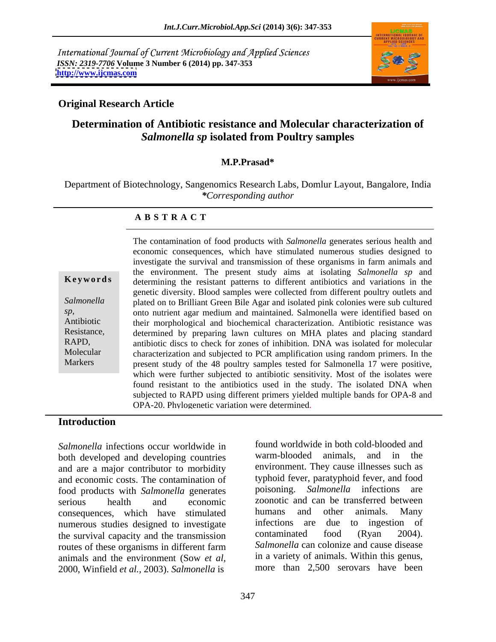International Journal of Current Microbiology and Applied Sciences *ISSN: 2319-7706* **Volume 3 Number 6 (2014) pp. 347-353 <http://www.ijcmas.com>**



## **Original Research Article**

# **Determination of Antibiotic resistance and Molecular characterization of**  *Salmonella sp* **isolated from Poultry samples**

### **M.P.Prasad\***

Department of Biotechnology, Sangenomics Research Labs, Domlur Layout, Bangalore, India *\*Corresponding author* 

### **A B S T R A C T**

**Keywords** determining the resistant patterns to different antibiotics and variations in the Salmonella 
plated on to Brilliant Green Bile Agar and isolated pink colonies were sub cultured *sp,* onto nutrient agar medium and maintained. Salmonella were identified based on Antibiotic their morphological and biochemical characterization. Antibiotic resistance was Resistance, determined by preparing lawn cultures on MHA plates and placing standard RAPD, antibiotic discs to check for zones of inhibition. DNA was isolated for molecular Molecular characterization and subjected to PCR amplification using random primers. In the Markers present study of the 48 poultry samples tested for Salmonella 17 were positive, The contamination of food products with *Salmonella* generates serious health and economic consequences, which have stimulated numerous studies designed to investigate the survival and transmission of these organisms in farm animals and the environment. The present study aims at isolating *Salmonella sp* and genetic diversity. Blood samples were collected from different poultry outlets and which were further subjected to antibiotic sensitivity. Most of the isolates were found resistant to the antibiotics used in the study. The isolated DNA when subjected to RAPD using different primers yielded multiple bands for OPA-8 and OPA-20. Phylogenetic variation were determined.

### **Introduction**

*Salmonella* infections occur worldwide in tound worldwide in both cold-blooded and hoth developed and developing countries warm-blooded animals, and in the both developed and developing countries and are a major contributor to morbidity and economic costs. The contamination of food products with *Salmonella* generates serious health and economic zoonotic and can be transferred between consequences, which have stimulated humans and other animals. Many<br>numerous studies designed to investigate infections are due to ingestion of numerous studies designed to investigate infections are due to ingestion of<br>the survival canacity and the transmission contaminated food (Ryan 2004). the survival capacity and the transmission routes of these organisms in different farm animals and the environment (Sow *et al,* 2000, Winfield *et al.,* 2003). *Salmonella* is

humans and other animals. Many infections are due to ingestion of contaminated food (Ryan 2004). *Salmonella* can colonize and cause disease in a variety of animals. Within this genus, more than 2,500 serovars have been

found worldwide in both cold-blooded and warm-blooded animals, and in environment. They cause illnesses such as typhoid fever, paratyphoid fever, and food poisoning. *Salmonella* infections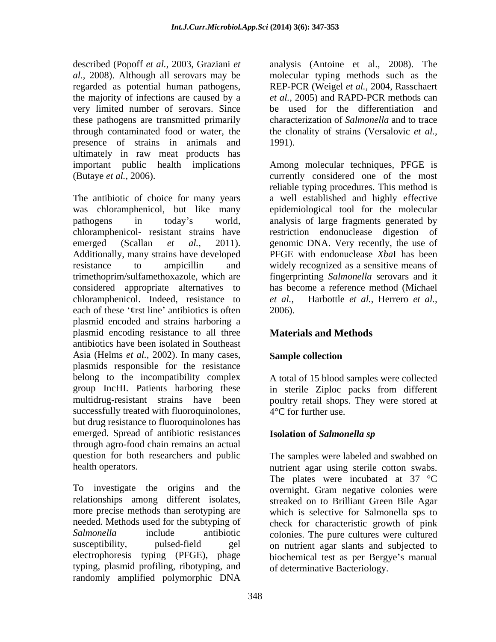described (Popoff *et al.,* 2003, Graziani *et*  analysis (Antoine et al., 2008). The *al.,* 2008). Although all serovars may be molecular typing methods such as the regarded as potential human pathogens, the majority of infections are caused by a *et al.,* 2005) and RAPD-PCR methods can very limited number of serovars. Since these pathogens are transmitted primarily through contaminated food or water, the the clonality of strains (Versalovic *et al.,* presence of strains in animals and 1991). ultimately in raw meat products has

was chloramphenicol, but like many epidemiological tool for the molecular pathogens in today's world, analysis of large fragments generated by chloramphenicol- resistant strains have restriction endonuclease digestion of emerged (Scallan *et al.,* 2011). genomic DNA. Very recently, the use of Additionally, many strains have developed PFGE with endonuclease *XbaI* has been resistance to ampicillin and widely recognized as a sensitive means of trimethoprim/sulfamethoxazole, which are fingerprinting *Salmonella* serovars and it considered appropriate alternatives to chloramphenicol. Indeed, resistance to *et al.*, each of these '¢rst line' antibiotics is often 2006). plasmid encoded and strains harboring a plasmid encoding resistance to all three antibiotics have been isolated in Southeast Asia (Helms *et al.,* 2002). In many cases, plasmids responsible for the resistance belong to the incompatibility complex A total of 15 blood samples were collected group IncHI. Patients harboring these in sterile Ziploc packs from different multidrug-resistant strains have been poultry retail shops. They were stored at successfully treated with fluoroquinolones, but drug resistance to fluoroquinolones has emerged. Spread of antibiotic resistances **Isolation of Salmonella sp** through agro-food chain remains an actual question for both researchers and public The samples were labeled and swabbed on

To investigate the origins and the overnight. Gram negative colonies were relationships among different isolates, streaked on to Brilliant Green Bile Agar more precise methods than serotyping are which is selective for Salmonella sps to needed. Methods used for the subtyping of check for characteristic growth of pink Salmonella include antibiotic colonies. The pure cultures were cultured susceptibility, pulsed-field gel on nutrient agar slants and subjected to electrophoresis typing (PFGE), phage biochemical test as per Bergye's manual typing, plasmid profiling, ribotyping, and randomly amplified polymorphic DNA

REP-PCR (Weigel *et al.,* 2004, Rasschaert be used for the differentiation and characterization of *Salmonella* and to trace 1991).

important public health implications Among molecular techniques, PFGE is (Butaye *et al.*, 2006). currently considered one of the most<br>reliable typing procedures. This method is<br>The antibiotic of choice for many years a well established and highly effective currently considered one of the most reliable typing procedures. This method is a well established and highly effective genomic DNA. Very recently, the use of PFGE with endonuclease *Xba*I has been has become a reference method (Michael *et al.,* Harbottle *et al.*, Herrero *et al.,* 2006).

# **Materials and Methods**

## **Sample collection**

4°C for further use.

## **Isolation of** *Salmonella sp*

health operators. nutrient agar using sterile cotton swabs. The plates were incubated at 37 °C of determinative Bacteriology.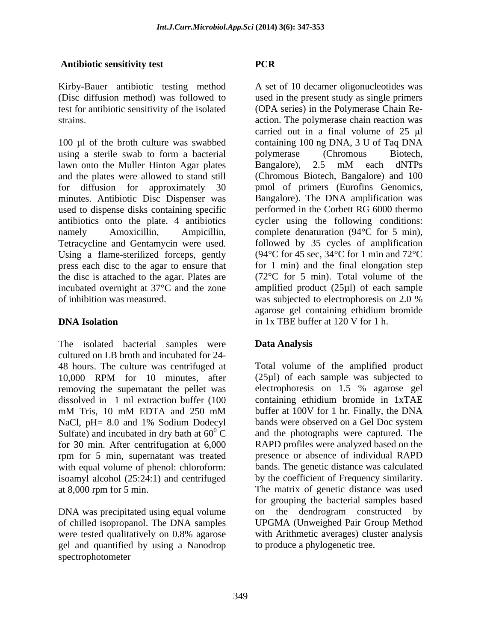### **Antibiotic sensitivity test**

Kirby-Bauer antibiotic testing method

100 µl of the broth culture was swabbed containing 100 ng DNA, 3 U of Taq DNA using a sterile swab to form a bacterial lawn onto the Muller Hinton Agar plates Bangalore), 2.5 mM each dNTPs and the plates were allowed to stand still (Chromous Biotech, Bangalore) and 100 for diffusion for approximately 30 pmol of primers (Eurofins Genomics, minutes. Antibiotic Disc Dispenser was used to dispense disks containing specific antibiotics onto the plate. 4 antibiotics namely Amoxicillin, Ampicillin, complete denaturation (94°C for 5 min), Tetracycline and Gentamycin were used. followed by 35 cycles of amplification Using a flame-sterilized forceps, gently press each disc to the agar to ensure that the disc is attached to the agar. Plates are incubated overnight at 37°C and the zone amplified product (25µl) of each sample

The isolated bacterial samples were **Data Analysis** cultured on LB broth and incubated for 24 removing the supernatant the pellet was electrophoresis on 1.5 % agarose gel dissolved in 1 ml extraction buffer (100 rpm for 5 min, supernatant was treated with equal volume of phenol: chloroform:

DNA was precipitated using equal volume on the dendrogram constructed by of chilled isopropanol. The DNA samples gel and quantified by using a Nanodrop

(Disc diffusion method) was followed to used in the present study as single primers test for antibiotic sensitivity of the isolated (OPA series) in the Polymerase Chain Re strains. action. The polymerase chain reaction was of inhibition was measured. was subjected to electrophoresis on 2.0 %<br>agarose gel containing ethidium bromide **DNA Isolation** in 1x TBE buffer at 120 V for 1 h. **Antibiotic sensitivity (est**<br> **CASC**<br> **CASC**<br> **CASC**<br> **CASC**<br> **CASC**<br> **CASC**<br> **CASC**<br> **CASC**<br> **CASC**<br> **CASC**<br> **CASC**<br> **CASC**<br> **CASC**<br> **CASC**<br> **CASC**<br> **CASC**<br> **CASC**<br> **CASC**<br> **CASC**<br> **CASC**<br> **CASC**<br> **CASC**<br> **CASC**<br> **CASC** A set of 10 decamer oligonucleotides was carried out in a final volume of  $25 \text{ }\mu\text{l}$ polymerase (Chromous Biotech, Bangalore), 2.5 mM each dNTPs Bangalore). The DNA amplification was performed in the Corbett RG 6000 thermo cycler using the following conditions: (94°C for 45 sec, 34°C for 1 min and 72°C for 1 min) and the final elongation step (72°C for 5 min). Total volume of the was subjected to electrophoresis on 2.0 % agarose gel containing ethidium bromide in 1x TBE buffer at 120 V for 1 h.

## **Data Analysis**

48 hours. The culture was centrifuged at Total volume of the amplified product 10,000 RPM for 10 minutes, after (25µl) of each sample was subjected to mM Tris, 10 mM EDTA and 250 mM buffer at 100V for 1 hr. Finally, the DNA NaCl, pH= 8.0 and 1% Sodium Dodecyl bands were observed on a Gel Doc system Sulfate) and incubated in dry bath at  $60^{\circ}$  C and the photographs were captured. The for 30 min. After centrifugation at 6,000 RAPD profiles were analyzed based on the isoamyl alcohol (25:24:1) and centrifuged by the coefficient of Frequency similarity. at 8,000 rpm for 5 min. The matrix of genetic distance was used were tested qualitatively on 0.8% agarose with Arithmetic averages) cluster analysis (25µl) of each sample was subjected to electrophoresis on 1.5 % agarose gel containing ethidium bromide in 1xTAE buffer at 100V for 1 hr. Finally, the DNA bands were observed on a Gel Doc system presence or absence of individual RAPD bands. The genetic distance was calculated for grouping the bacterial samples based on the dendrogram constructed UPGMA (Unweighed Pair Group Method with Arithmetic averages) cluster analysis to produce a phylogenetic tree.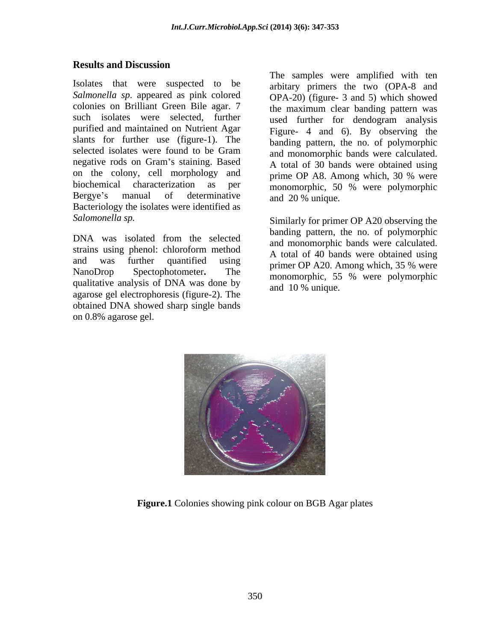## **Results and Discussion**

*Salmonella sp*. appeared as pink colored colonies on Brilliant Green Bile agar. 7 such isolates were selected, further used further for dendogram analysis purified and maintained on Nutrient Agar Figure- 4 and 6). By observing the slants for further use (figure-1). The selected isolates were found to be Gram and monomorphic bands were calculated negative rods on Gram's staining. Based  $\overline{A}$  total of 30 hands were obtained using on the colony, cell morphology and prime OP A8. Among which, 30 % were biochemical characterization as per monomorphic, 50 % were polymorphic Bergye's manual of determinative  $\frac{1}{20}$  and  $\frac{1}{20}$  w unique Bacteriology the isolates were identified as Isolates that were suspected to be The samples were amplified with ten *Salmonella sp.* appeared as pink colored on PHA-20) (figure-3 and 5) which showed colonies on Brilliant Green Bile agar. 7 the maximum clear banding p

strains using phenol: chloroform method qualitative analysis of DNA was done by agarose gel electrophoresis (figure-2). The obtained DNA showed sharp single bands

Isolates that were suspected to be The samples were amplified with ten arbitary primers the two (OPA-8 and OPA-20) (figure- 3 and 5) which showed the maximum clear banding pattern was banding pattern, the no. of polymorphic and monomorphic bands were calculated. A total of 30 bands were obtained using prime OP A8. Among which, 30 % were and 20 % unique.

Salomonella sp.  $\sum_{n=1}^{\infty}$  Similarly for primer OP A20 observing the DNA was isolated from the selected and monomorphic hands were calculated and was further quantified using  $\frac{11}{200}$  and  $\frac{100}{200}$  Among which 35 % were NanoDrop Spectophotometer. The monomorphic, 55 % were polymorphic banding pattern, the no. of polymorphic and monomorphic bands were calculated. A total of 40 bands were obtained using primer OP A20. Among which, 35 % were and 10 % unique.



**Figure.1** Colonies showing pink colour on BGB Agar plates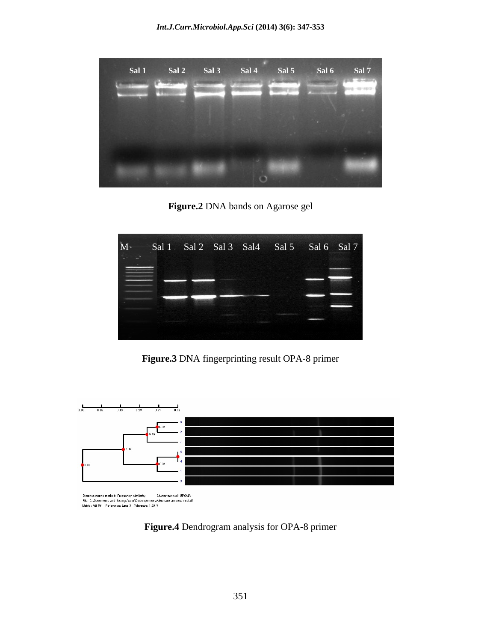

**Figure.2** DNA bands on Agarose gel



**Figure.3** DNA fingerprinting result OPA-8 primer



Distance matrix method: Frequency Similarity Cluster method: UPGMA<br>File: C:\Documents and Settings'user\Desktop'vneena'blue tank ameena final.tif<br>Metric: Adj Rf Reference: Lane 3 Tolerance: 1.00 %

**Figure.4** Dendrogram analysis for OPA-8 primer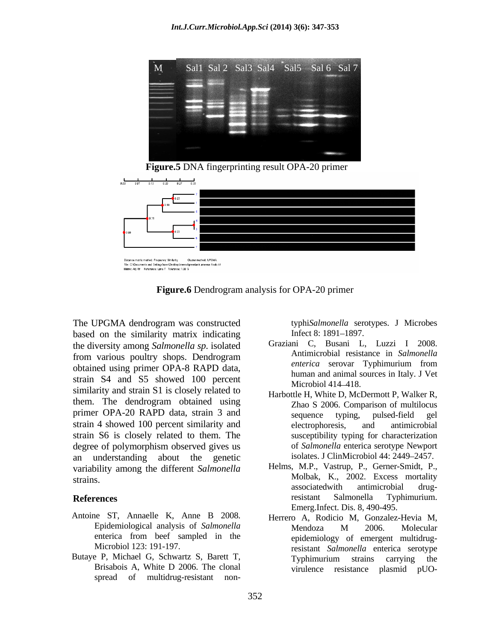

 **Figure.5** DNA fingerprinting result OPA-20 primer



**Figure.6** Dendrogram analysis for OPA-20 primer

The UPGMA dendrogram was constructed byphiSalmonella serotypes. J Microbes based on the similarity matrix indicating Infect 8: 1891–1897. the diversity among *Salmonella sp*. isolated from various poultry shops. Dendrogram Antimicrobial resistance in Salmonella<br>
enterica serovar Typhimurium from obtained using primer OPA-8 RAPD data, strain S4 and S5 showed 100 percent<br>Microbiol 414–418. similarity and strain S1 is closely related to them. The dendrogram obtained using primer OPA-20 RAPD data, strain 3 and sequence typing, pulsed-field gel strain 4 showed 100 percent similarity and electrophoresis, and antimicrobial strain S6 is closely related to them. The degree of polymorphism observed gives us an understanding about the genetic variability among the different *Salmonella* 

- Antoine ST, Annaelle K, Anne B 2008. Herrero A, Rodicio M, Gonzalez-Hevia M,
- spread of multidrug-resistant non-

typhi*Salmonella* serotypes. J Microbes Infect 8: 1891–1897.

- Graziani C, Busani L, Luzzi I 2008. Antimicrobial resistance in *Salmonella enterica* serovar Typhimurium from human and animal sources in Italy. J Vet Microbiol 414–418.
- Harbottle H, White D, McDermott P, Walker R, Zhao S 2006. Comparison of multilocus sequence typing, pulsed-field gel electrophoresis, and antimicrobial susceptibility typing for characterization of *Salmonella* enterica serotype Newport isolates. J ClinMicrobiol 44: 2449–2457.
- strains. The contract of the Molbak, K., 2002. Excess mortality **References References References References References References References References References References References References References References References References References** Helms, M.P., Vastrup, P., Gerner-Smidt, P., associatedwith antimicrobial drugresistant Salmonella Typhimurium. Emerg.Infect. Dis. 8, 490-495.
- Epidemiological analysis of *Salmonella*  enterica from beef sampled in the epidemiology of emergent multidrug-Microbiol 123: 191-197. resistant *Salmonella* enterica serotype Butaye P, Michael G, Schwartz S, Barett T, Typhimurium strains carrying the Brisabois A, White D 2006. The clonal virulence resistance plasmid pUO-Mendoza M 2006. Molecular epidemiology of emergent multidrug-Typhimurium strains carrying the